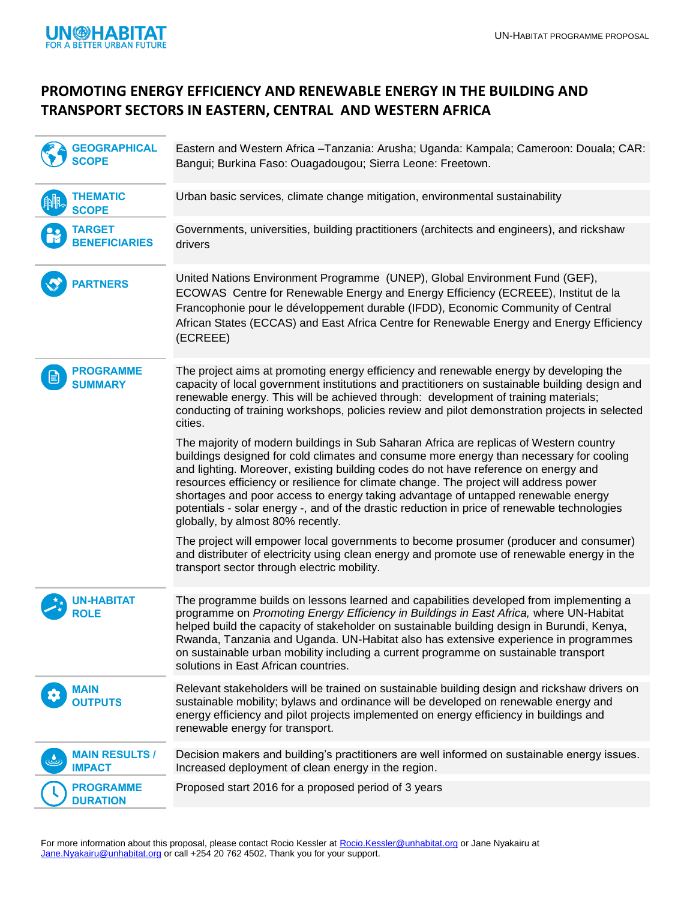

## **PROMOTING ENERGY EFFICIENCY AND RENEWABLE ENERGY IN THE BUILDING AND TRANSPORT SECTORS IN EASTERN, CENTRAL AND WESTERN AFRICA**

| <b>GEOGRAPHICAL</b>                    | Eastern and Western Africa - Tanzania: Arusha; Uganda: Kampala; Cameroon: Douala; CAR:<br>Bangui; Burkina Faso: Ouagadougou; Sierra Leone: Freetown.                                                                                                                                                                                                                                                                                                                                                                                                                                        |
|----------------------------------------|---------------------------------------------------------------------------------------------------------------------------------------------------------------------------------------------------------------------------------------------------------------------------------------------------------------------------------------------------------------------------------------------------------------------------------------------------------------------------------------------------------------------------------------------------------------------------------------------|
| <b>THEMATIC</b><br><b>SCOPE</b>        | Urban basic services, climate change mitigation, environmental sustainability                                                                                                                                                                                                                                                                                                                                                                                                                                                                                                               |
| <b>TARGET</b><br><b>BENEFICIARIES</b>  | Governments, universities, building practitioners (architects and engineers), and rickshaw<br>drivers                                                                                                                                                                                                                                                                                                                                                                                                                                                                                       |
| <b>PARTNERS</b>                        | United Nations Environment Programme (UNEP), Global Environment Fund (GEF),<br>ECOWAS Centre for Renewable Energy and Energy Efficiency (ECREEE), Institut de la<br>Francophonie pour le développement durable (IFDD), Economic Community of Central<br>African States (ECCAS) and East Africa Centre for Renewable Energy and Energy Efficiency<br>(ECREEE)                                                                                                                                                                                                                                |
| <b>PROGRAMME</b><br><b>SUMMARY</b>     | The project aims at promoting energy efficiency and renewable energy by developing the<br>capacity of local government institutions and practitioners on sustainable building design and<br>renewable energy. This will be achieved through: development of training materials;<br>conducting of training workshops, policies review and pilot demonstration projects in selected<br>cities.                                                                                                                                                                                                |
|                                        | The majority of modern buildings in Sub Saharan Africa are replicas of Western country<br>buildings designed for cold climates and consume more energy than necessary for cooling<br>and lighting. Moreover, existing building codes do not have reference on energy and<br>resources efficiency or resilience for climate change. The project will address power<br>shortages and poor access to energy taking advantage of untapped renewable energy<br>potentials - solar energy -, and of the drastic reduction in price of renewable technologies<br>globally, by almost 80% recently. |
|                                        | The project will empower local governments to become prosumer (producer and consumer)<br>and distributer of electricity using clean energy and promote use of renewable energy in the<br>transport sector through electric mobility.                                                                                                                                                                                                                                                                                                                                                        |
| N-HABITAT<br><b>ROLE</b>               | The programme builds on lessons learned and capabilities developed from implementing a<br>programme on Promoting Energy Efficiency in Buildings in East Africa, where UN-Habitat<br>helped build the capacity of stakeholder on sustainable building design in Burundi, Kenya,<br>Rwanda, Tanzania and Uganda. UN-Habitat also has extensive experience in programmes<br>on sustainable urban mobility including a current programme on sustainable transport<br>solutions in East African countries.                                                                                       |
| <b>MAIN</b><br><b>OUTPUTS</b>          | Relevant stakeholders will be trained on sustainable building design and rickshaw drivers on<br>sustainable mobility; bylaws and ordinance will be developed on renewable energy and<br>energy efficiency and pilot projects implemented on energy efficiency in buildings and<br>renewable energy for transport.                                                                                                                                                                                                                                                                           |
| <b>MAIN RESULTS /</b><br><b>IMPACT</b> | Decision makers and building's practitioners are well informed on sustainable energy issues.<br>Increased deployment of clean energy in the region.                                                                                                                                                                                                                                                                                                                                                                                                                                         |
| <b>PROGRAMME</b><br><b>DURATION</b>    | Proposed start 2016 for a proposed period of 3 years                                                                                                                                                                                                                                                                                                                                                                                                                                                                                                                                        |